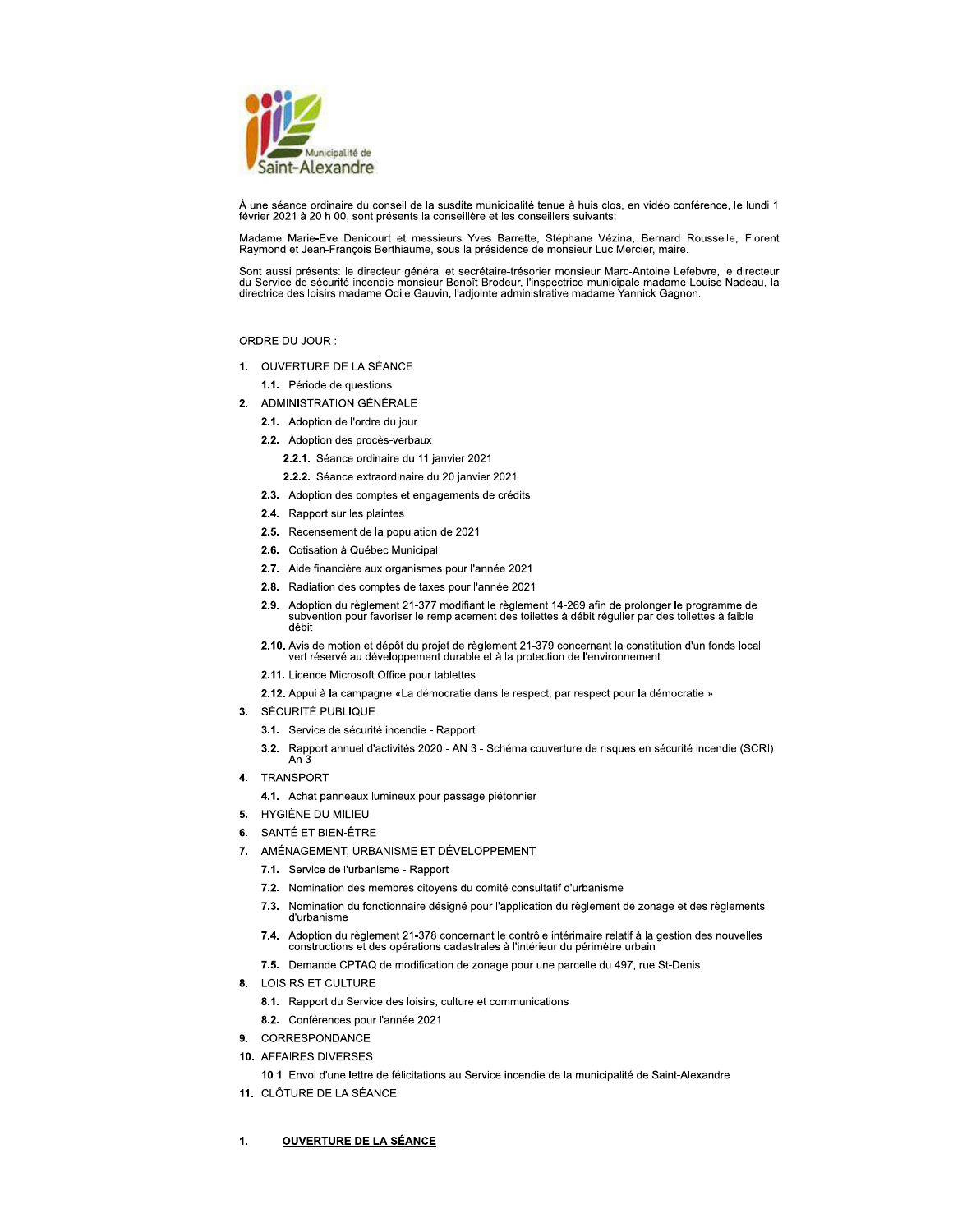

À une séance ordinaire du conseil de la susdite municipalité tenue à huis clos, en vidéo conférence, le lundi 1 février 2021 à 20 h 00, sont présents la conseillère et les conseillers suivants:

Madame Marie-Eve Denicourt et messieurs Yves Barrette, Stéphane Vézina, Bernard Rousselle, Florent Raymond et Jean-François Berthiaume, sous la présidence de monsieur Luc Mercier, maire.

Sont aussi présents: le directeur général et secrétaire-trésorier monsieur Marc-Antoine Lefebvre, le directeur du Service de sécurité incendie monsieur Benoît Brodeur, l'inspectrice municipale madame Louise Nadeau, la<br>directrice des loisirs madame Odile Gauvin, l'adjointe administrative madame Yannick Gagnon.

# ORDRE DU JOUR :

- 1. OUVERTURE DE LA SÉANCE
	- 1.1. Période de questions
- ADMINISTRATION GÉNÉRALE  $2.$ 
	- 2.1. Adoption de l'ordre du jour
	- 2.2. Adoption des procès-verbaux
		- 2.2.1. Séance ordinaire du 11 janvier 2021
		- 2.2.2. Séance extraordinaire du 20 janvier 2021
	- 2.3. Adoption des comptes et engagements de crédits
	- 2.4. Rapport sur les plaintes
	- 2.5. Recensement de la population de 2021
	- 2.6. Cotisation à Québec Municipal
	- 2.7. Aide financière aux organismes pour l'année 2021
	- 2.8. Radiation des comptes de taxes pour l'année 2021
	- 2.9. Adoption du règlement 21-377 modifiant le règlement 14-269 afin de prolonger le programme de<br>subvention pour favoriser le remplacement des toilettes à débit régulier par des toilettes à faible débit
	- 2.10. Avis de motion et dépôt du projet de règlement 21-379 concernant la constitution d'un fonds local vert réservé au développement durable et à la protection de l'environnement
	- 2.11. Licence Microsoft Office pour tablettes
	- 2.12. Appui à la campagne «La démocratie dans le respect, par respect pour la démocratie »
- SÉCURITÉ PUBLIQUE  $3<sub>1</sub>$ 
	- 3.1. Service de sécurité incendie Rapport
	- 3.2. Rapport annuel d'activités 2020 AN 3 Schéma couverture de risques en sécurité incendie (SCRI)<br>An 3
- TRANSPORT 4.
	- 4.1. Achat panneaux lumineux pour passage piétonnier
- HYGIÈNE DU MILIEU 5.
- SANTÉ ET BIEN-ÊTRE 6.
- 7. AMÉNAGEMENT, URBANISME ET DÉVELOPPEMENT
	- 7.1. Service de l'urbanisme Rapport
	- 7.2. Nomination des membres citoyens du comité consultatif d'urbanisme
	- $7.3.$ Nomination du fonctionnaire désigné pour l'application du règlement de zonage et des règlements d'urbanisme
	- Adoption du règlement 21-378 concernant le contrôle intérimaire relatif à la gestion des nouvelles  $7.4.$ constructions et des opérations cadastrales à l'intérieur du périmètre urbain
	- 7.5. Demande CPTAQ de modification de zonage pour une parcelle du 497, rue St-Denis
- **LOISIRS ET CULTURE** 8.
	- 8.1. Rapport du Service des loisirs, culture et communications
	- 8.2. Conférences pour l'année 2021
- CORRESPONDANCE 9.
- 10. AFFAIRES DIVERSES
	- 10.1. Envoi d'une lettre de félicitations au Service incendie de la municipalité de Saint-Alexandre
- 11. CLÔTURE DE LA SÉANCE

#### 1. **OUVERTURE DE LA SÉANCE**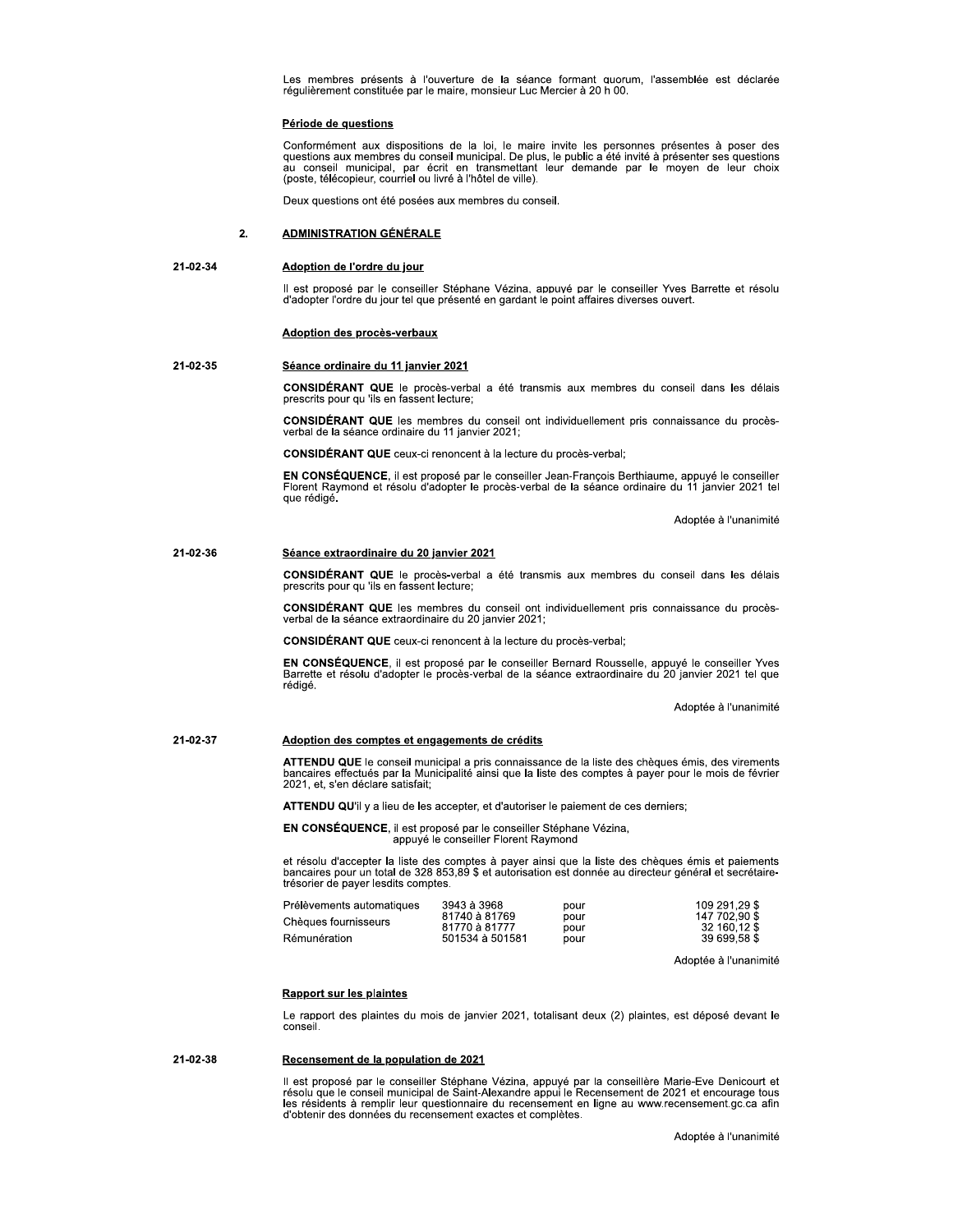Les membres presents à l'ouverture de la seance formant duorum, l'assemblée est déclarée regulierement constituée par le maire, monsieur Luc Mercier a 20 n 00.

Conformement aux dispositions de la loi, le maire invite les personnes présentes à poser des<br>questions aux membres du conseil municipal. De plus, le public a été invité à présenter ses questions au conseil municipal, par ecrit en transmettant leur demande par le moyen de leur choix<br>(poste, télécopieur, courriel ou livré à l'hôtel de ville). Les membres présents à l'ouverture de la séance forégulièrement constituée par le maire, monsieur Luc Merci<br>
Période de questions<br>
Conformément aux dispositions de la loi, le maire invi<br>
questions aux membres du conseil mu

Deux questions ont ete posees aux membres au conse

II est propose par le conseiller Stephane Vezina, appuve par le conseiller Yves Barrette et reso 21-02-34<br>Il est proposé par le conseiller Stéphane Vézina, appuvé par le conseiller Yves Barrette et résolu<br>d'adopter l'ordre du jour tel que présenté en gardant le point affaires diverses ouvert.

# Adoption des procès-verbaux

**CONSIDERANT QUE** le proces-verbal a ete transmis aux membres du conseil dans les delais prescrits pour qu 'iis en fassent lecture; 21-02-34<br> **Adoption de l'ordre du jour**<br>
Il est proposé par le conseiller Stépha<br>
d'adopter l'ordre du jour tel que présent<br> **Adoption des procès-verbaux<br>
21-02-35<br>
Séance ordinaire du 11 janvier 2021<br>
CONSIDÉRANT QUE le p** 

CONSIDERANT QUE les membres du conseil ont individuellement pris connaissance du proces-<br>verbal de la séance ordinaire du 11 janvier 2021;

CONSIDERANT QUE ceux-ci renoncent a la lecture du proces-verbal;

EN CONSEQUENCE, il est propose par le conseiller Jean-François Berthlaume, appuye le conseiller Florent Raymond et resolu d'adopter le proces-verbal de la seance ordinaire du 11 janvier 2021 tel<br>que rédigé. **CONSIDÉRANT QUE** ceux-ci renoncent à la<br> **EN CONSÉQUENCE**, il est proposé par le c<br>
Florent Raymond et résolu d'adopter le pro<br>
que rédigé.<br> **21-02-36**<br> **25-ance extraordinaire du 20 janvier 2021<br>
CONSIDÉRANT QUE le procè** 

Adoptee a runanimite

**CONSIDERANT QUE** le proces-verbal a ete transmis aux membres du conseil dans les delais prescrits pour qu 'ils en fassent lecture;

 $\blacksquare$   $\blacksquare$   $\blacksquare$   $\blacksquare$  les membres du conseil ont individuellement pris connaissance du procesverbal de la seance extraordinaire du 20 janvier 2021;

CONSIDERANT QUE ceux-ci renoncent a la lecture du proces-verbal;

EN CONSEQUENCE, il est propose par le consellier Bernard Rousselle, appuye le consellier Yves<br>Barrette et résolu d'adopter le procès-verbal de la séance extraordinaire du 20 janvier 2021 tel que rédigé. **CONSIDÉRANT QUE** ceux-ci renoncent à la lecture du procès-verbal;<br> **EN CONSÉQUENCE**, il est proposé par le conseiller Bernard Rouss<br>
Barrette et résolu d'adopter le procès-verbal de la séance extraordina<br>
rédigé.<br> **21-02-**

Adoptee a l'unanimite

ATTENDU QUE le conseil municipal à pris connaissance de la liste des cheques emis, des virements<br>bancaires effectués par la Municipalité ainsi que la liste des comptes à payer pour le mois de février<br>2021, et, s'en déclare

ATTENDU QU'il y a lieu de les accepter, et d'autoriser le palement de ces derniers;

EN CONSEQUENCE, il est propose par le conseiller Stephane Vezina, appuye le consellier Florent Raymond

et resolu a accepter la liste des comptes a payer ainsi que la liste des cheques emis et palements<br>bancaires pour un total de 328 853,89 \$ et autorisation est donnée au directeur général et secrétaire-<br>trésorier de payer l

| Prélèvements automatiques | 3943 à 3968                    | pour         | 109 291.29 \$                 |
|---------------------------|--------------------------------|--------------|-------------------------------|
| Chèques fournisseurs      | 81740 à 81769<br>81770 à 81777 | pour<br>pour | 147 702.90 \$<br>32 160.12 \$ |
| Rémunération              | 501534 à 501581                | pour         | 39 699.58 \$                  |

Adoptee a runanimite

<u>Rapport sur les plaintes</u><br>Le rapport des plaintes du mois de janvier 2021, totalisant deux (2) plaintes, est déposé devant le<br>conseil. conseil.

il est propose par le conseiller Stephane Vezina, appuye par la conseillere Marie-Lve Denicourt et<br>résolu que le conseil municipal de Saint-Alexandre appui le Recensement de 2021 et encourage tous les residents a remplir leur questionnaire du recensement en ligne au www.recensement.gc.ca afin d'obtenir des donnees du recensement exactes et completes. Experience de la population de 2021<br>
Il est proposé par le conseiller Stéphane Vézina, appuyé par la conseillère Marie-Eve Denicourt et<br>
résolu que le conseil municipal de Saint-Alexandre appui le Recensement de 2021 et en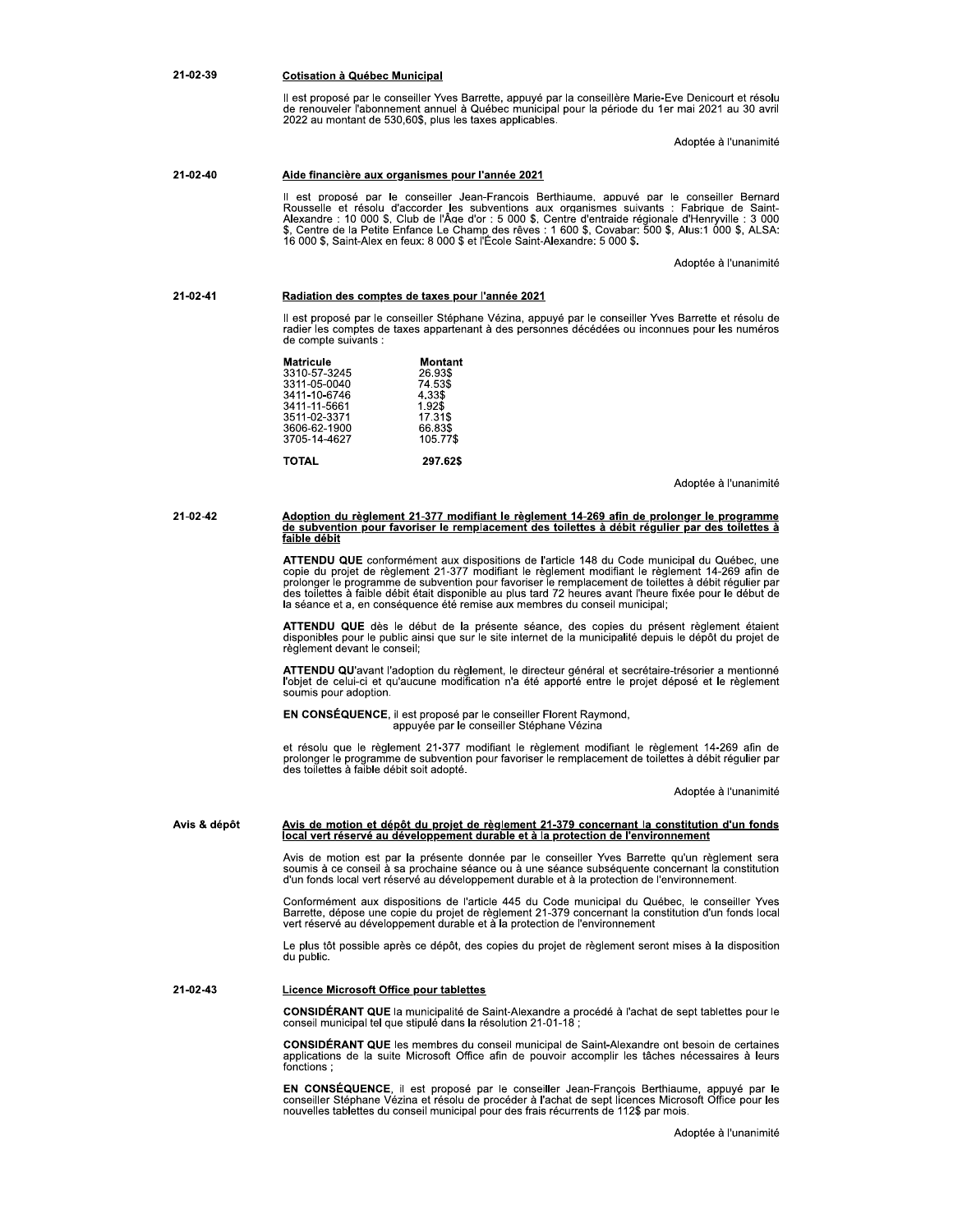#### 21-02-39 **Cotisation à Québec Municipal**

Il est proposé par le conseiller Yves Barrette, appuyé par la conseillère Marie-Eve Denicourt et résolu de renouveler l'abonnement annuel à Québec municipal pour la période du 1er mai 2021 au 30 avril<br>2022 au montant de 530,60\$, plus les taxes applicables.

Adoptée à l'unanimité

#### $21 - 02 - 40$ Aide financière aux organismes pour l'année 2021

Il est proposé par le conseiller Jean-Francois Berthiaume, appuyé par le conseiller Bernard Rousselle et résolu d'accorder les subventions aux organismes suivants : Fabrique de Saint-<br>Alexandre : 10 000 \$, Club de l'Âge d'or : 5 000 \$, Centre d'entraide régionale d'Henryville : 3 000<br>\$, Centre de la Petite Enfanc

Adoptée à l'unanimité

#### 21-02-41 Radiation des comptes de taxes pour l'année 2021

Il est proposé par le conseiller Stéphane Vézina, appuyé par le conseiller Yves Barrette et résolu de radier l de compte suivants :

| Matricule    | Montant  |
|--------------|----------|
| 3310-57-3245 | 26.93\$  |
| 3311-05-0040 | 74.53\$  |
| 3411-10-6746 | 4.33\$   |
| 3411-11-5661 | 1.92\$   |
| 3511-02-3371 | 17.31\$  |
| 3606-62-1900 | 66.83\$  |
| 3705-14-4627 | 105.77\$ |
|              |          |
| <b>TOTAL</b> | 297.62\$ |
|              |          |

Adoptée à l'unanimité

21-02-42

# Adoption du règlement 21-377 modifiant le règlement 14-269 afin de prolonger le programme<br>de subvention pour favoriser le remplacement des toilettes à débit régulier par des toilettes à<br>faible débit

**ATTENDU QUE** conformément aux dispositions de l'article 148 du Code municipal du Québec, une copie du projet de règlement 21-377 modifiant le règlement modifiant le règlement 14-269 afin de prolonger le programme de subve

ATTENDU QUE dès le début de la présente séance, des copies du présent règlement étaient<br>disponibles pour le public ainsi que sur le site internet de la municipalité depuis le dépôt du projet de règlement devant le conseil;

ATTENDU QU'avant l'adoption du règlement, le directeur général et secrétaire-trésorier a mentionné<br>l'objet de celui-ci et qu'aucune modification n'a été apporté entre le projet déposé et le règlement soumis pour adoption.

EN CONSÉQUENCE, il est proposé par le conseiller Florent Raymond, appuyée par le conseiller Stéphane Vézina

et résolu que le règlement 21-377 modifiant le règlement modifiant le règlement 14-269 afin de prolonger le programme de subvention pour favoriser le remplacement de toilettes à débit régulier par des toilettes à faible débit soit adopté.

Adoptée à l'unanimité

#### Avis & dépôt <u>Avis de motion et dépôt du projet de règlement 21-379 concernant la constitution d'un fonds </u> local vert réservé au développement durable et à la protection de l'environnement

Avis de motion est par la présente donnée par le conseiller Yves Barrette qu'un règlement sera<br>soumis à ce conseil à sa prochaine séance ou à une séance subséquente concernant la constitution<br>d'un fonds local vert réservé

Conformément aux dispositions de l'article 445 du Code municipal du Québec, le conseiller Yves<br>Barrette, dépose une copie du projet de règlement 21-379 concernant la constitution d'un fonds local<br>vert réservé au développem

Le plus tôt possible après ce dépôt, des copies du projet de règlement seront mises à la disposition du public.

21-02-43 **Licence Microsoft Office pour tablettes** 

CONSIDÉRANT QUE la municipalité de Saint-Alexandre a procédé à l'achat de sept tablettes pour le conseil municipal tel que stipulé dans la résolution 21-01-18 ;

CONSIDÉRANT QUE les membres du conseil municipal de Saint-Alexandre ont besoin de certaines applications de la suite Microsoft Office afin de pouvoir accomplir les tâches nécessaires à leurs fonctions:

EN CONSÉQUENCE, il est proposé par le conseiller Jean-François Berthiaume, appuyé par le conseiller Stéphane Vézina et résolu de procéder à l'achat de sept licences Microsoft Office pour les nouvelles tablettes du conseil municipal pour des frais récurrents de 112\$ par mois.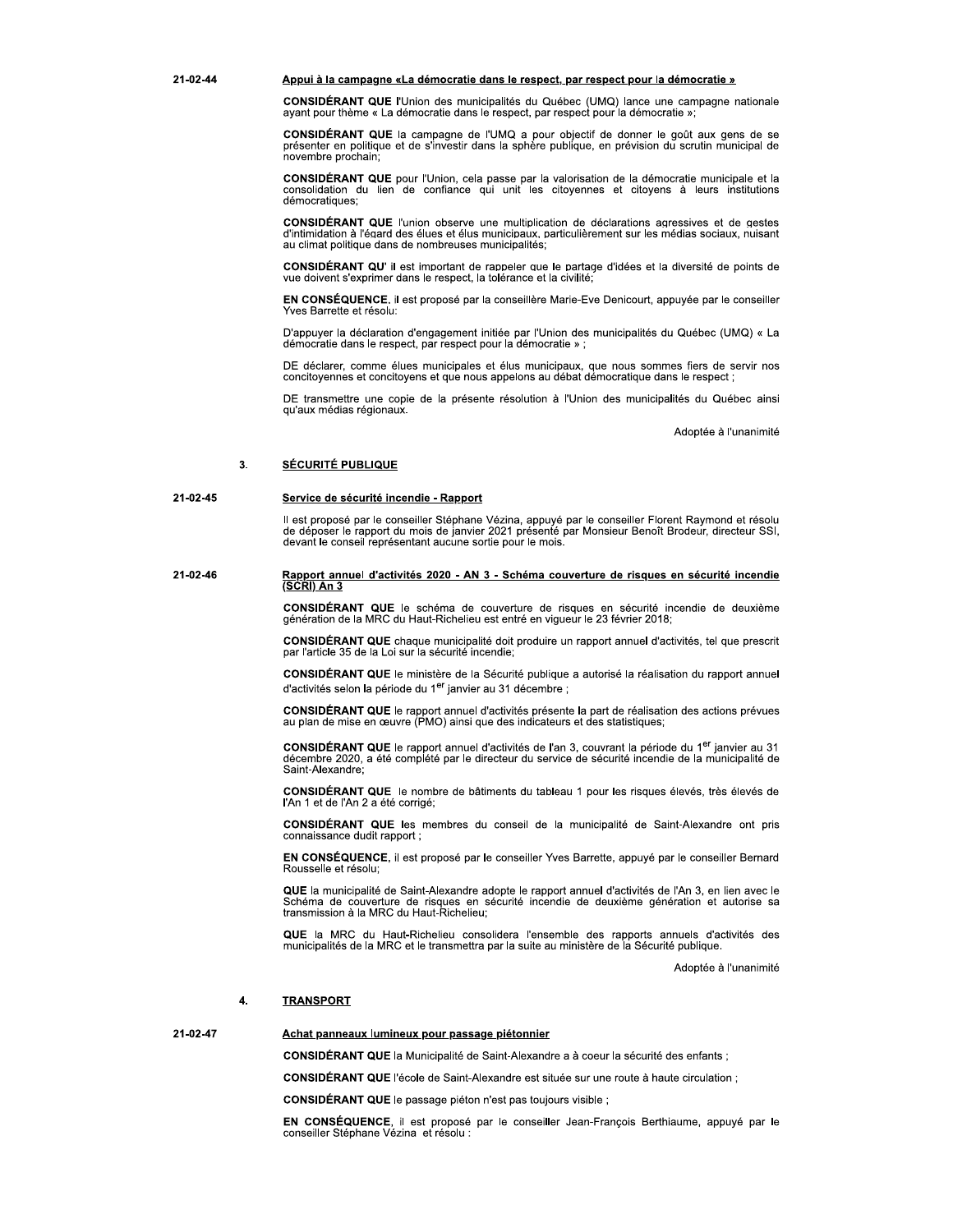### Appui à la campagne «La démocratie dans le respect, par respect pour la démocratie »

CONSIDÉRANT QUE l'Union des municipalités du Québec (UMQ) lance une campagne nationale ayant pour thème « La démocratie dans le respect, par respect pour la démocratie »

CONSIDÉRANT QUE la campagne de l'UMQ a pour objectif de donner le goût aux gens de se présenter en politique et de s'investir dans la sphère publique, en prévision du scrutin municipal de novembre prochain;

CONSIDÉRANT QUE pour l'Union, cela passe par la valorisation de la démocratie municipale et la consolidation du lien de confiance qui unit les citoyennes et citoyens à leurs institutions démocratiques;

CONSIDÉRANT QUE l'union observe une multiplication de déclarations agressives et de gestes d'intimidation à l'égard des élues et élus municipaux, particulièrement sur les médias sociaux, nuisant au climat politique dans de nombreuses municipalités:

CONSIDÉRANT QU' il est important de rappeler que le partage d'idées et la diversité de points de vue doivent s'exprimer dans le respect, la tolérance et la civilité;

EN CONSÉQUENCE, il est proposé par la conseillère Marie-Eve Denicourt, appuyée par le conseiller Yves Barrette et résolu:

D'appuyer la déclaration d'engagement initiée par l'Union des municipalités du Québec (UMQ) « La démocratie dans le respect, par respect pour la démocratie »

DE déclarer, comme élues municipales et élus municipaux, que nous sommes fiers de servir nos concitoyennes et concitoyens et que nous appelons au débat démocratique dans le respect

DE transmettre une copie de la présente résolution à l'Union des municipalités du Québec ainsi qu'aux médias régionaux.

Adoptée à l'unanimité

#### **SÉCURITÉ PUBLIQUE**  $\overline{3}$ .

21-02-44

#### 21-02-45 Service de sécurité incendie - Rapport

Il est proposé par le conseiller Stéphane Vézina, appuyé par le conseiller Florent Raymond et résolu de déposer le rapport du mois de janvier 2021 présenté par Monsieur Benoît Brodeur, directeur SSI, devant le conseil repr

#### 21-02-46 Rapport annuel d'activités 2020 - AN 3 - Schéma couverture de risques en sécurité incendie (SCRI) An 3

CONSIDÉRANT QUE le schéma de couverture de risques en sécurité incendie de deuxième génération de la MRC du Haut-Richelieu est entré en vigueur le 23 février 2018;

CONSIDÉRANT QUE chaque municipalité doit produire un rapport annuel d'activités, tel que prescrit par l'article 35 de la Loi sur la sécurité incendie;

CONSIDÉRANT QUE le ministère de la Sécurité publique a autorisé la réalisation du rapport annuel d'activités selon la période du 1<sup>er</sup> janvier au 31 décembre ;

CONSIDÉRANT QUE le rapport annuel d'activités présente la part de réalisation des actions prévues<br>au plan de mise en œuvre (PMO) ainsi que des indicateurs et des statistiques;

CONSIDÉRANT QUE le rapport annuel d'activités de l'an 3, couvrant la période du 1<sup>er</sup> janvier au 31 décembre 2020, a été complété par le directeur du service de sécurité incendie de la municipalité de Saint-Alexandre:

**CONSIDÉRANT QUE** le nombre de bâtiments du tableau 1 pour les risques élevés, très élevés de l'An 1 et de l'An 2 a été corrigé:

CONSIDÉRANT QUE les membres du conseil de la municipalité de Saint-Alexandre ont pris connaissance dudit rapport ;

EN CONSÉQUENCE, il est proposé par le conseiller Yves Barrette, appuyé par le conseiller Bernard Rousselle et résolu;

QUE la municipalité de Saint-Alexandre adopte le rapport annuel d'activités de l'An 3, en lien avec le Schéma de couverture de risques en sécurité incendie de deuxième génération et autorise sa<br>transmission à la MRC du Haut-Richelieu;

QUE la MRC du Haut-Richelieu consolidera l'ensemble des rapports annuels d'activités des municipalités de la MRC et le transmettra par la suite au ministère de la Sécurité publique.

Adoptée à l'unanimité

#### **TRANSPORT** 4.

#### 21-02-47 Achat panneaux lumineux pour passage piétonnier

CONSIDÉRANT QUE la Municipalité de Saint-Alexandre a à coeur la sécurité des enfants ;

CONSIDÉRANT QUE l'école de Saint-Alexandre est située sur une route à haute circulation :

CONSIDÉRANT QUE le passage piéton n'est pas toujours visible ;

EN CONSÉQUENCE, il est proposé par le conseiller Jean-François Berthiaume, appuyé par le conseiller Stéphane Vézina et résolu :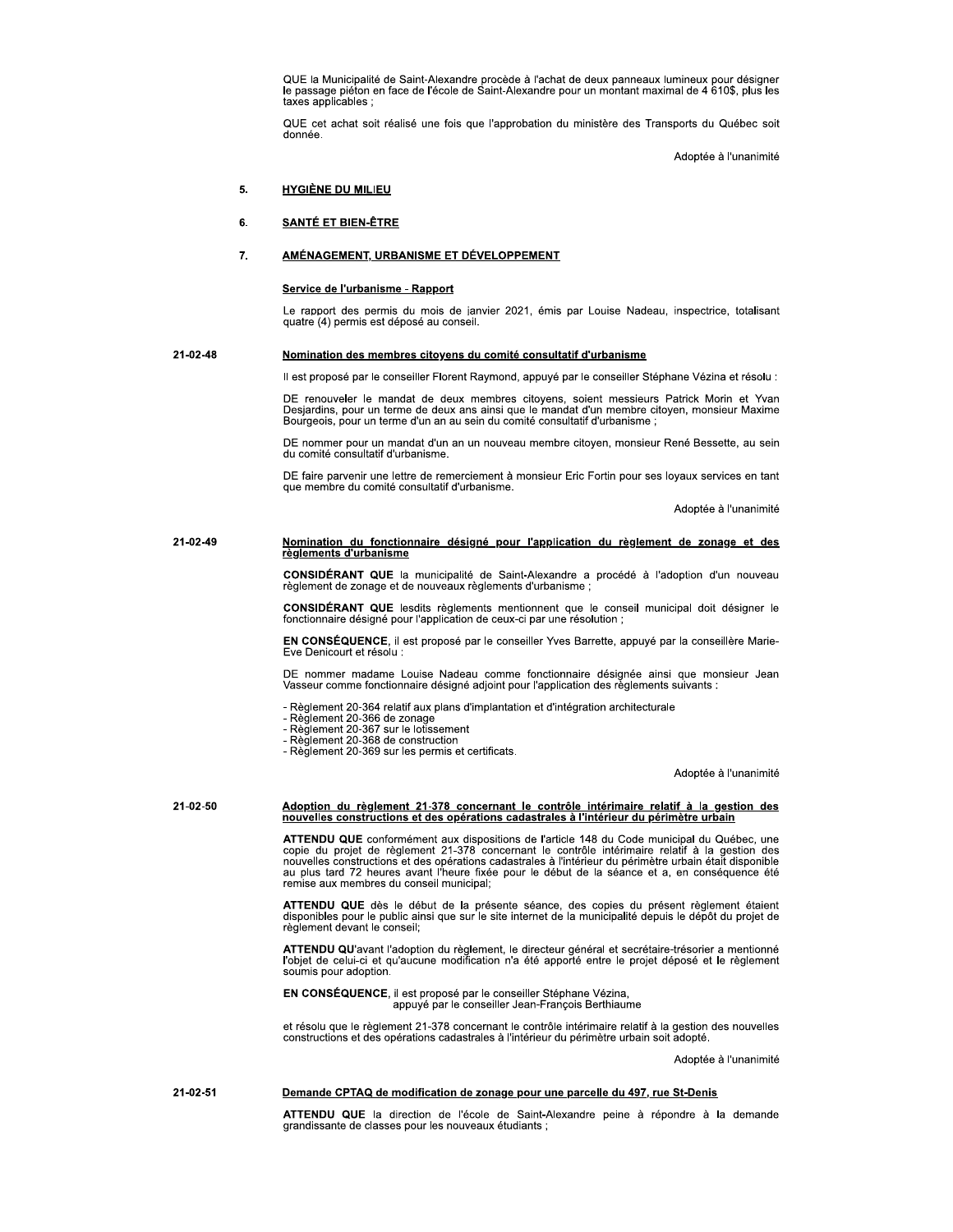QUE la Municipalité de Saint-Alexandre procède à l'achat de deux panneaux lumineux pour désigner<br>le passage piéton en face de l'école de Saint-Alexandre pour un montant maximal de 4 610\$, plus les taxes applicables :

QUE cet achat soit réalisé une fois que l'approbation du ministère des Transports du Québec soit donnée.

Adoptée à l'unanimité

#### 5. **HYGIÈNE DU MILIEU**

#### 6. **SANTÉ ET BIEN-ÊTRE**

#### 7. AMÉNAGEMENT, URBANISME ET DÉVELOPPEMENT

## Service de l'urbanisme - Rapport

Le rapport des permis du mois de janvier 2021, émis par Louise Nadeau, inspectrice, totalisant quatre (4) permis est déposé au conseil.

#### 21-02-48 Nomination des membres citoyens du comité consultatif d'urbanisme

Il est proposé par le conseiller Florent Raymond, appuyé par le conseiller Stéphane Vézina et résolu :

DE renouveler le mandat de deux membres citoyens, soient messieurs Patrick Morin et Yvan<br>Desjardins, pour un terme de deux ans ainsi que le mandat d'un membre citoyen, monsieur Maxime Bourgeois, pour un terme d'un an au sein du comité consultatif d'urbanisme ;

DE nommer pour un mandat d'un an un nouveau membre citoyen, monsieur René Bessette, au sein du comité consultatif d'urbanisme.

DE faire parvenir une lettre de remerciement à monsieur Eric Fortin pour ses loyaux services en tant que membre du comité consultatif d'urbanisme.

Adoptée à l'unanimité

#### 21-02-49 Nomination du fonctionnaire désigné pour l'application du règlement de zonage et des <u>règlements d'urbanisme</u>

CONSIDÉRANT QUE la municipalité de Saint-Alexandre a procédé à l'adoption d'un nouveau règlement de zonage et de nouveaux règlements d'urbanisme ;

CONSIDÉRANT QUE lesdits règlements mentionnent que le conseil municipal doit désigner le fonctionnaire désigné pour l'application de ceux-ci par une résolution ;

EN CONSÉQUENCE, il est proposé par le conseiller Yves Barrette, appuyé par la conseillère Marie-Eve Denicourt et résolu :

DE nommer madame Louise Nadeau comme fonctionnaire désignée ainsi que monsieur Jean Vasseur comme fonctionnaire désigné adjoint pour l'application des réglements suivants :

- Règlement 20-364 relatif aux plans d'implantation et d'intégration architecturale

- 
- 
- 
- Regiement 20-304 relativitativa plans d'implantative de la partie de la partie de la partie de la partie de la partie de la partie de la partie de la partie de la partie de la partie de la partie de la partie de la parti

Adoptée à l'unanimité

# 21-02-50

# Adoption du règlement 21-378 concernant le contrôle intérimaire relatif à la gestion des<br>nouvelles constructions et des opérations cadastrales à l'intérieur du périmètre urbain

ATTENDU QUE conformément aux dispositions de l'article 148 du Code municipal du Québec, une copie du projet de règlement 21-378 concernant le contrôle intérimaire relatif à la gestion des nouvelles constructions et des opérations cadastrales à l'intérieur du périmètre urbain était disponible au plus tard 72 heures avant l'heure fixée pour le début de la séance et a, en conséquence été remise aux membres du

ATTENDU QUE dès le début de la présente séance, des copies du présent règlement étaient disponibles pour le public ainsi que sur le site internet de la municipalité depuis le dépôt du projet de règlement devant le conseil;

ATTENDU QU'avant l'adoption du règlement, le directeur général et secrétaire-trésorier a mentionné l'objet de celui-ci et qu'aucune modification n'a été apporté entre le projet déposé et le règlement soumis pour adoption.

EN CONSÉQUENCE, il est proposé par le conseiller Stéphane Vézina, appuyé par le conseiller Jean-François Berthiaume

et résolu que le règlement 21-378 concernant le contrôle intérimaire relatif à la gestion des nouvelles constructions et des opérations cadastrales à l'intérieur du périmètre urbain soit adopté.

Adoptée à l'unanimité

#### 21-02-51 Demande CPTAQ de modification de zonage pour une parcelle du 497, rue St-Denis

ATTENDU QUE la direction de l'école de Saint-Alexandre peine à répondre à la demande grandissante de classes pour les nouveaux étudiants;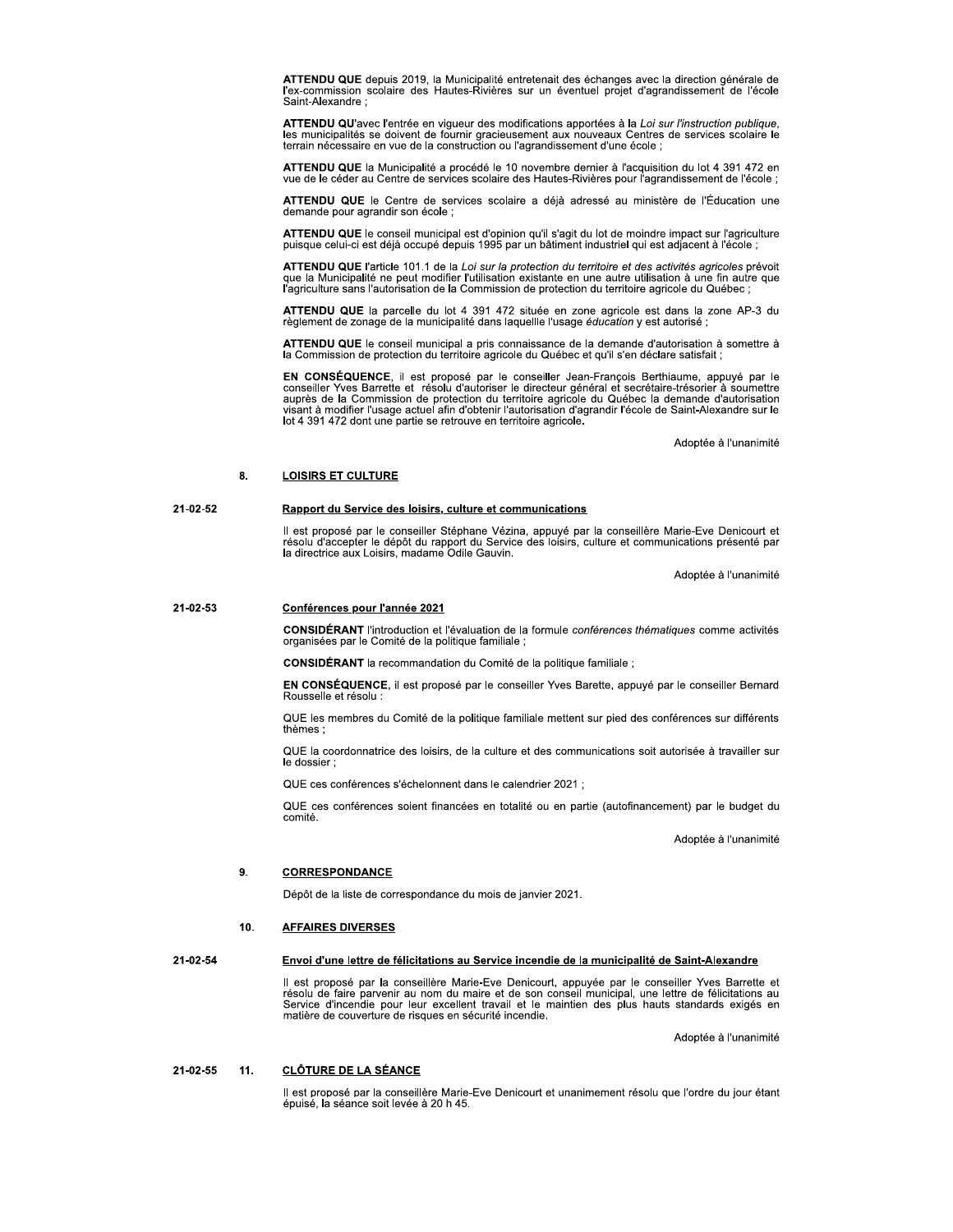ATTENDU QUE depuis 2019, la Municipalité entretenait des échanges avec la direction générale de l'ex-commission scolaire des Hautes-Rivières sur un éventuel projet d'agrandissement de l'école Saint-Alexandre:

ATTENDU QU'avec l'entrée en vigueur des modifications apportées à la Loi sur l'instruction publique, les municipalités se doivent de fournir gracieusement aux nouveaux Centres de services scolaire le terrain nécessaire en vue de la construction ou l'agrandissement d'une école ;

ATTENDU QUE la Municipalité a procédé le 10 novembre dernier à l'acquisition du lot 4 391 472 en vue de le céder au Centre de services scolaire des Hautes-Rivières pour l'agrandissement de l'école ;

ATTENDU QUE le Centre de services scolaire a déjà adressé au ministère de l'Éducation une demande pour agrandir son école ;

ATTENDU QUE le conseil municipal est d'opinion qu'il s'agit du lot de moindre impact sur l'agriculture puisque celui-ci est déjà occupé depuis 1995 par un bâtiment industriel qui est adjacent à l'école ;

ATTENDU QUE l'article 101.1 de la Loi sur la protection du territoire et des activités agricoles prévoit que la Municipalité ne peut modifier l'utilisation existante en une autre utilisation à une fin autre que<br>l'agriculture sans l'autorisation de la Commission de protection du territoire agricole du Québec ;

ATTENDU QUE la parcelle du lot 4 391 472 située en zone agricole est dans la zone AP-3 du règlement de zonage de la municipalité dans laquelle l'usage éducation y est autorisé ;

ATTENDU QUE le conseil municipal a pris connaissance de la demande d'autorisation à somettre à la Commission de protection du territoire agricole du Québec et qu'il s'en déclare satisfait ;

EN CONSÉQUENCE, il est proposé par le conseiller Jean-François Berthiaume, appuyé par le conseiller Yves Barrette et résolu d'autoriser le directeur général et secrétaire-trésorier à soumettre auprès de la Commission de protection du territoire agricole du Québec la demande d'autorisation visant à modifier l'usage actuel afin d'obtenir l'autorisation d'agrandir l'école de Saint-Alexandre sur le lot 4 391 472 dont une partie se retrouve en territoire agricole.

Adoptée à l'unanimité

#### 8. **LOISIRS ET CULTURE**

#### 21-02-52 Rapport du Service des loisirs, culture et communications

Il est proposé par le conseiller Stéphane Vézina, appuyé par la conseillère Marie-Eve Denicourt et résolu d'accepter le dépôt du rapport du Service des loisirs, culture et communications présenté par la directrice aux Loisirs, madame Odile Gauvin.

Adoptée à l'unanimité

#### 21-02-53 Conférences pour l'année 2021

CONSIDÉRANT l'introduction et l'évaluation de la formule conférences thématiques comme activités organisées par le Comité de la politique familiale ;

CONSIDÉRANT la recommandation du Comité de la politique familiale :

EN CONSÉQUENCE, il est proposé par le conseiller Yves Barette, appuyé par le conseiller Bernard Rousselle et résolu :

QUE les membres du Comité de la politique familiale mettent sur pied des conférences sur différents thèmes;

QUE la coordonnatrice des loisirs, de la culture et des communications soit autorisée à travailler sur le dossier ;

QUE ces conférences s'échelonnent dans le calendrier 2021 ;

QUE ces conférences soient financées en totalité ou en partie (autofinancement) par le budget du comité.

Adoptée à l'unanimité

#### **CORRESPONDANCE** 9.

Dépôt de la liste de correspondance du mois de janvier 2021.

#### 10. **AFFAIRES DIVERSES**

#### 21-02-54 Envoi d'une lettre de félicitations au Service incendie de la municipalité de Saint-Alexandre

Il est proposé par la conseillère Marie-Eve Denicourt, appuyée par le conseiller Yves Barrette et résolu de faire parvenir au nom du maire et de son conseil municipal, une lettre de félicitations au Service d'incendie pour leur excellent travail et le maintien des plus hauts standards exigés en matière de couverture de risques en sécurité incendie.

Adoptée à l'unanimité

#### **CLÔTURE DE LA SÉANCE** 21-02-55  $11.$

Il est proposé par la conseillère Marie-Eve Denicourt et unanimement résolu que l'ordre du jour étant épuisé, la séance soit levée à 20 h 45.